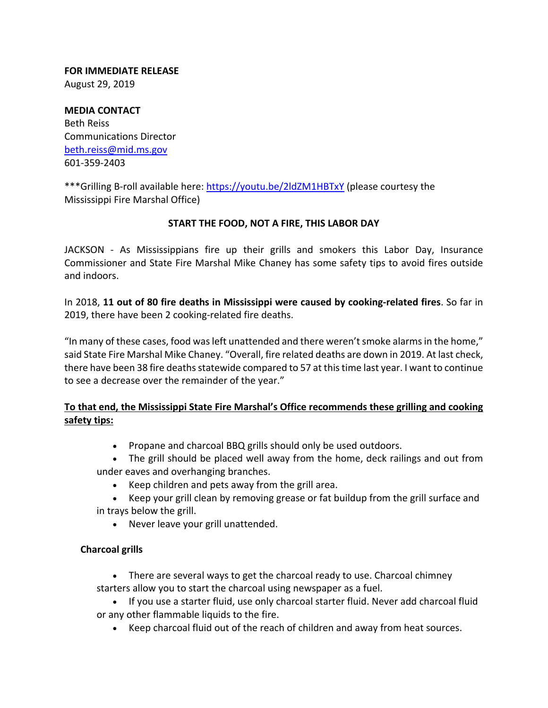**FOR IMMEDIATE RELEASE** August 29, 2019

**MEDIA CONTACT** Beth Reiss Communications Director beth.reiss@mid.ms.gov 601‐359‐2403

\*\*\*Grilling B-roll available here: https://youtu.be/2ldZM1HBTxY (please courtesy the Mississippi Fire Marshal Office)

## **START THE FOOD, NOT A FIRE, THIS LABOR DAY**

JACKSON - As Mississippians fire up their grills and smokers this Labor Day, Insurance Commissioner and State Fire Marshal Mike Chaney has some safety tips to avoid fires outside and indoors.

In 2018, **11 out of 80 fire deaths in Mississippi were caused by cooking‐related fires**. So far in 2019, there have been 2 cooking‐related fire deaths.

"In many of these cases, food wasleft unattended and there weren'tsmoke alarmsin the home," said State Fire Marshal Mike Chaney. "Overall, fire related deaths are down in 2019. At last check, there have been 38 fire deaths statewide compared to 57 at this time last year. I want to continue to see a decrease over the remainder of the year."

# **To that end, the Mississippi State Fire Marshal's Office recommends these grilling and cooking safety tips:**

- Propane and charcoal BBQ grills should only be used outdoors.
- The grill should be placed well away from the home, deck railings and out from under eaves and overhanging branches.
	- Keep children and pets away from the grill area.
- Keep your grill clean by removing grease or fat buildup from the grill surface and in trays below the grill.
	- Never leave your grill unattended.

## **Charcoal grills**

 There are several ways to get the charcoal ready to use. Charcoal chimney starters allow you to start the charcoal using newspaper as a fuel.

- If you use a starter fluid, use only charcoal starter fluid. Never add charcoal fluid or any other flammable liquids to the fire.
	- Keep charcoal fluid out of the reach of children and away from heat sources.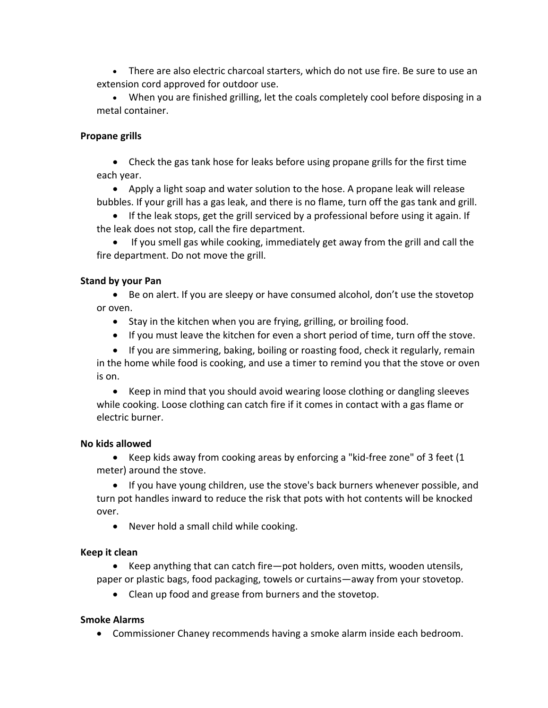There are also electric charcoal starters, which do not use fire. Be sure to use an extension cord approved for outdoor use.

 When you are finished grilling, let the coals completely cool before disposing in a metal container.

### **Propane grills**

 Check the gas tank hose for leaks before using propane grills for the first time each year.

 Apply a light soap and water solution to the hose. A propane leak will release bubbles. If your grill has a gas leak, and there is no flame, turn off the gas tank and grill.

• If the leak stops, get the grill serviced by a professional before using it again. If the leak does not stop, call the fire department.

 If you smell gas while cooking, immediately get away from the grill and call the fire department. Do not move the grill.

#### **Stand by your Pan**

 Be on alert. If you are sleepy or have consumed alcohol, don't use the stovetop or oven.

- Stay in the kitchen when you are frying, grilling, or broiling food.
- If you must leave the kitchen for even a short period of time, turn off the stove.
- If you are simmering, baking, boiling or roasting food, check it regularly, remain

in the home while food is cooking, and use a timer to remind you that the stove or oven is on.

 Keep in mind that you should avoid wearing loose clothing or dangling sleeves while cooking. Loose clothing can catch fire if it comes in contact with a gas flame or electric burner.

#### **No kids allowed**

■ Keep kids away from cooking areas by enforcing a "kid-free zone" of 3 feet (1 meter) around the stove.

 If you have young children, use the stove's back burners whenever possible, and turn pot handles inward to reduce the risk that pots with hot contents will be knocked over.

Never hold a small child while cooking.

## **Keep it clean**

 Keep anything that can catch fire—pot holders, oven mitts, wooden utensils, paper or plastic bags, food packaging, towels or curtains—away from your stovetop.

Clean up food and grease from burners and the stovetop.

## **Smoke Alarms**

Commissioner Chaney recommends having a smoke alarm inside each bedroom.